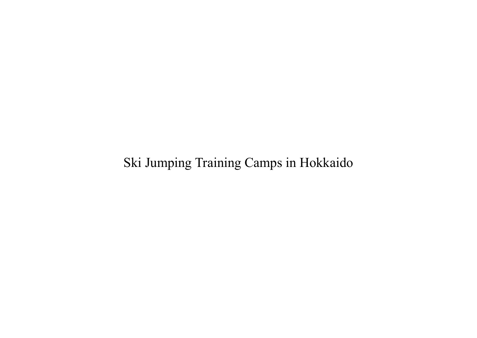# Ski Jumping Training Camps in Hokkaido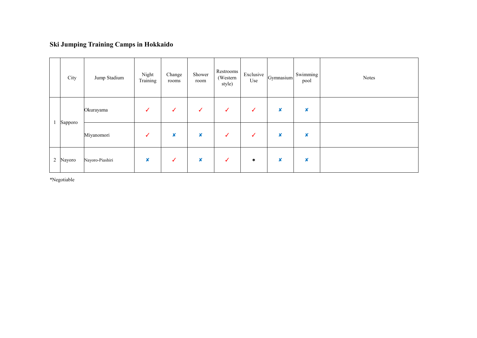### **Ski Jumping Training Camps in Hokkaido**

|                | City    | Jump Stadium    | Night<br>Training         | Change<br>rooms  | Shower<br>room            | Restrooms<br>(Western)<br>style) | Exclusive<br>Use | Gymnasium        | Swimming<br>pool          | Notes |
|----------------|---------|-----------------|---------------------------|------------------|---------------------------|----------------------------------|------------------|------------------|---------------------------|-------|
|                | Sapporo | Okurayama       | ✓                         | ✓                | ✓                         | ✓                                | ✓                | ×                | $\boldsymbol{\mathsf{x}}$ |       |
|                |         | Miyanomori      | $\checkmark$              | $\boldsymbol{x}$ | $\boldsymbol{\mathsf{x}}$ | ✓                                | ✓                | $\boldsymbol{x}$ | $\boldsymbol{\mathsf{x}}$ |       |
| $\overline{2}$ | Nayoro  | Nayoro-Piashiri | $\boldsymbol{\mathsf{x}}$ | ✓                | $\boldsymbol{\mathsf{x}}$ | $\checkmark$                     | $\ast$           | $\boldsymbol{x}$ | ×                         |       |

\*Negotiable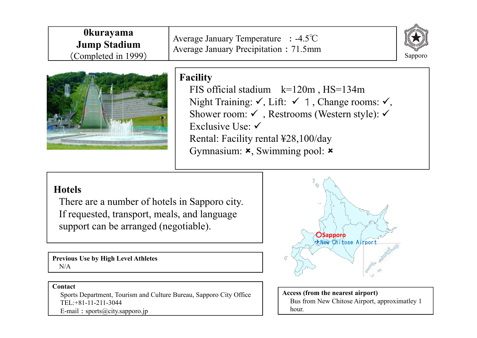| <b>Okurayama</b><br>Average January Temperature $: -4.5^{\circ}\text{C}$<br><b>Jump Stadium</b><br>Average January Precipitation : 71.5mm<br>(Completed in 1999) | $\mathbb{Z}$<br>Sapporo |
|------------------------------------------------------------------------------------------------------------------------------------------------------------------|-------------------------|
|------------------------------------------------------------------------------------------------------------------------------------------------------------------|-------------------------|



# **Facility**

FIS official stadium  $k=120m$ , HS=134m Night Training:  $\checkmark$ , Lift:  $\checkmark$  1, Change rooms:  $\checkmark$ , Shower room:  $\checkmark$ , Restrooms (Western style):  $\checkmark$ Exclusive Use:  $\checkmark$ Rental: Facility rental ¥28,100/day Gymnasium:  $\star$ , Swimming pool:  $\star$ 

## **Hotels**

There are a number of hotels in Sapporo city. If requested, transport, meals, and language support can be arranged (negotiable).

**Previous Use by High Level Athletes** N/A

# ○**Sapporo** ✈New Chitose Airport

#### **Contact**

Sports Department, Tourism and Culture Bureau, Sapporo City Office TEL:+81-11-211-3044 E-mail: sports@city.sapporo.jp

**Access (from the nearest airport)** Bus from New Chitose Airport, approximatley 1 hour.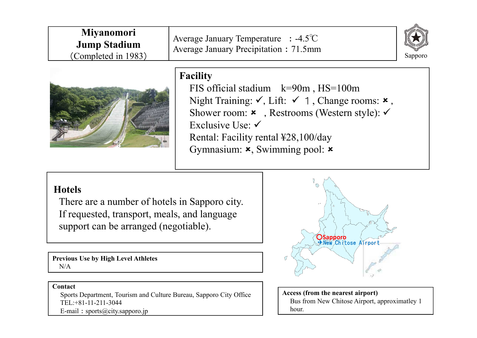| <b>Miyanomori</b><br><b>Jump Stadium</b><br>(Completed in 1983) | Average January Temperature $: -4.5^{\circ}\text{C}$<br>Average January Precipitation: 71.5mm |  |  |  |
|-----------------------------------------------------------------|-----------------------------------------------------------------------------------------------|--|--|--|
|                                                                 | <b>Facility</b><br>$\Gamma$ IC official stadium $1\pi$ –00m $\Gamma$ IC–100m                  |  |  |  |

FIS official stadium k=90m , HS=100m Night Training:  $\checkmark$ , Lift:  $\checkmark$  1, Change rooms:  $\checkmark$ , Shower room:  $\star$ , Restrooms (Western style):  $\checkmark$ Exclusive Use: Rental: Facility rental ¥28,100/day Gymnasium:  $\star$ , Swimming pool:  $\star$ 

## **Hotels**

There are a number of hotels in Sapporo city. If requested, transport, meals, and language support can be arranged (negotiable).

**Previous Use by High Level Athletes** N/A

#### **Contact**

Sports Department, Tourism and Culture Bureau, Sapporo City Office TEL:+81-11-211-3044 E-mail: sports@city.sapporo.jp



**Access (from the nearest airport)** Bus from New Chitose Airport, approximatley 1 hour.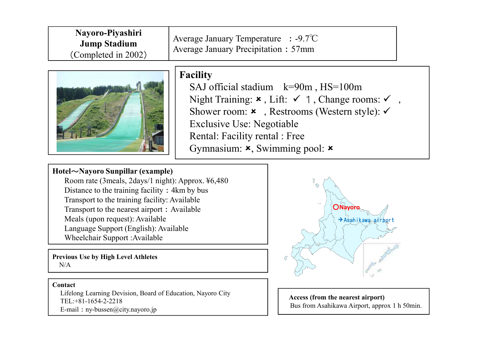| Nayoro-Piyashiri<br><b>Jump Stadium</b><br>(Completed in 2002) | Average January Temperature $\therefore$ -9.7°C<br>Average January Precipitation : 57mm |
|----------------------------------------------------------------|-----------------------------------------------------------------------------------------|
|----------------------------------------------------------------|-----------------------------------------------------------------------------------------|



# **Facility**

SAJ official stadium k=90m , HS=100m Night Training:  $\star$ , Lift:  $\checkmark$  1, Change rooms:  $\checkmark$ , Shower room:  $\star$ , Restrooms (Western style):  $\checkmark$ Exclusive Use: Negotiable Rental: Facility rental : Free Gymnasium:  $\star$ , Swimming pool:  $\star$ 

#### **Hotel**~**Nayoro Sunpillar (example)**

Room rate (3meals, 2days/1 night): Approx. ¥6,480 Distance to the training facility: 4km by bus Transport to the training facility: Available Transport to the nearest airport: Available Meals (upon request): Available Language Support (English): Available Wheelchair Support :Available

**Previous Use by High Level Athletes**  $N/A$ 

#### **Contact**

Lifelong Learning Devision, Board of Education, Nayoro City TEL:+81-1654-2-2218 E-mail:ny-bussen@city.nayoro.jp



**Access (from the nearest airport)** Bus from Asahikawa Airport, approx 1 h 50min.